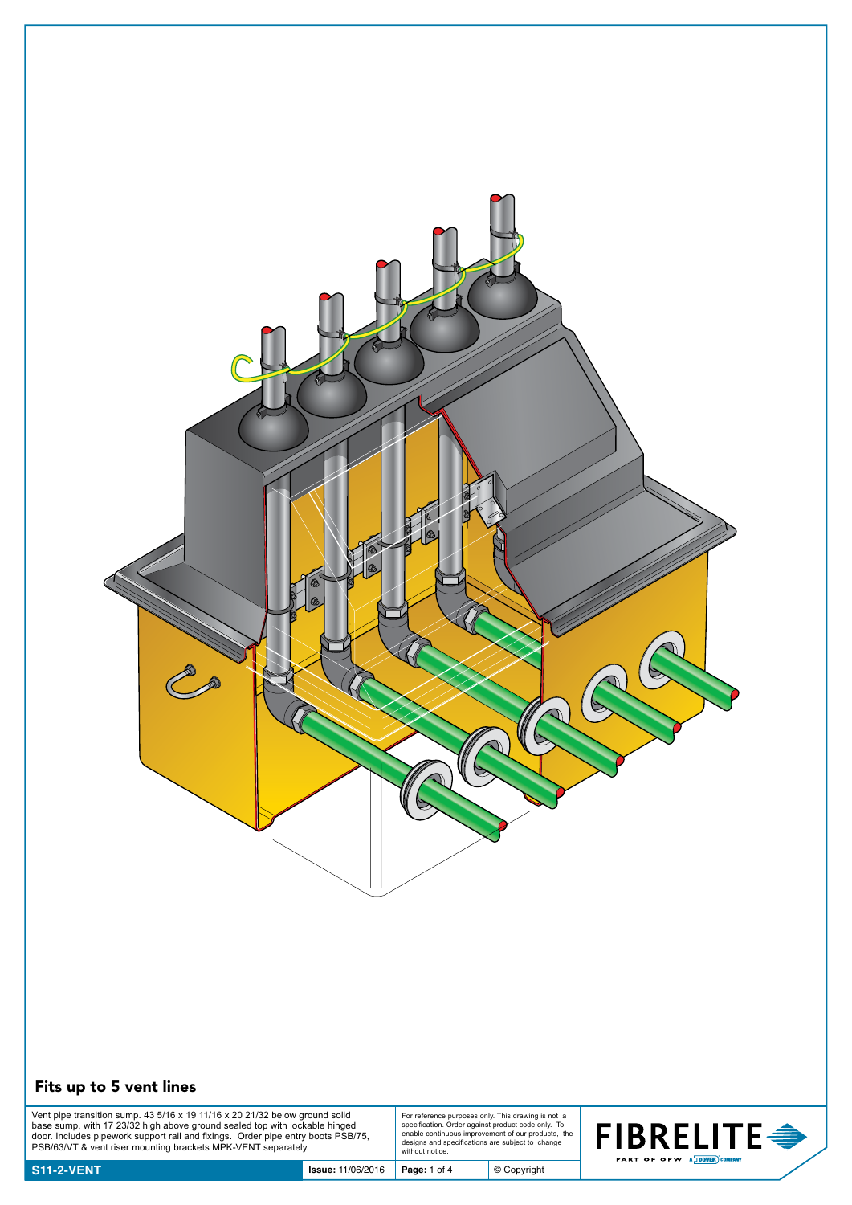

## Fits up to 5 vent lines

Vent pipe transition sump. 43 5/16 x 19 11/16 x 20 21/32 below ground solid<br>base sump, with 17 23/32 high above ground sealed top with lockable hinged<br>door. Includes pipework support rail and fixings. Order pipe entry boot

For reference purposes only. This drawing is not a specification. Order against product code only. To enable continuous improvement of our products, the designs and specifications are subject to change without notice.

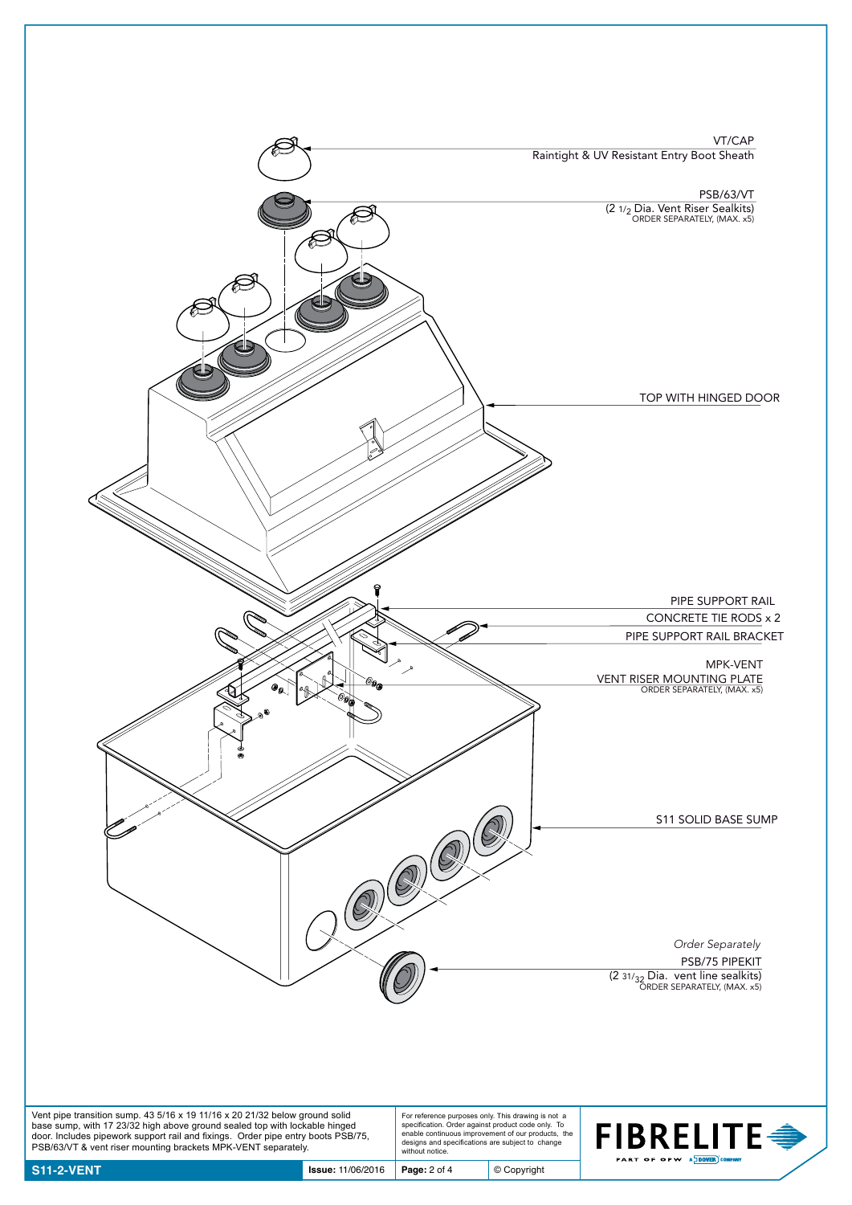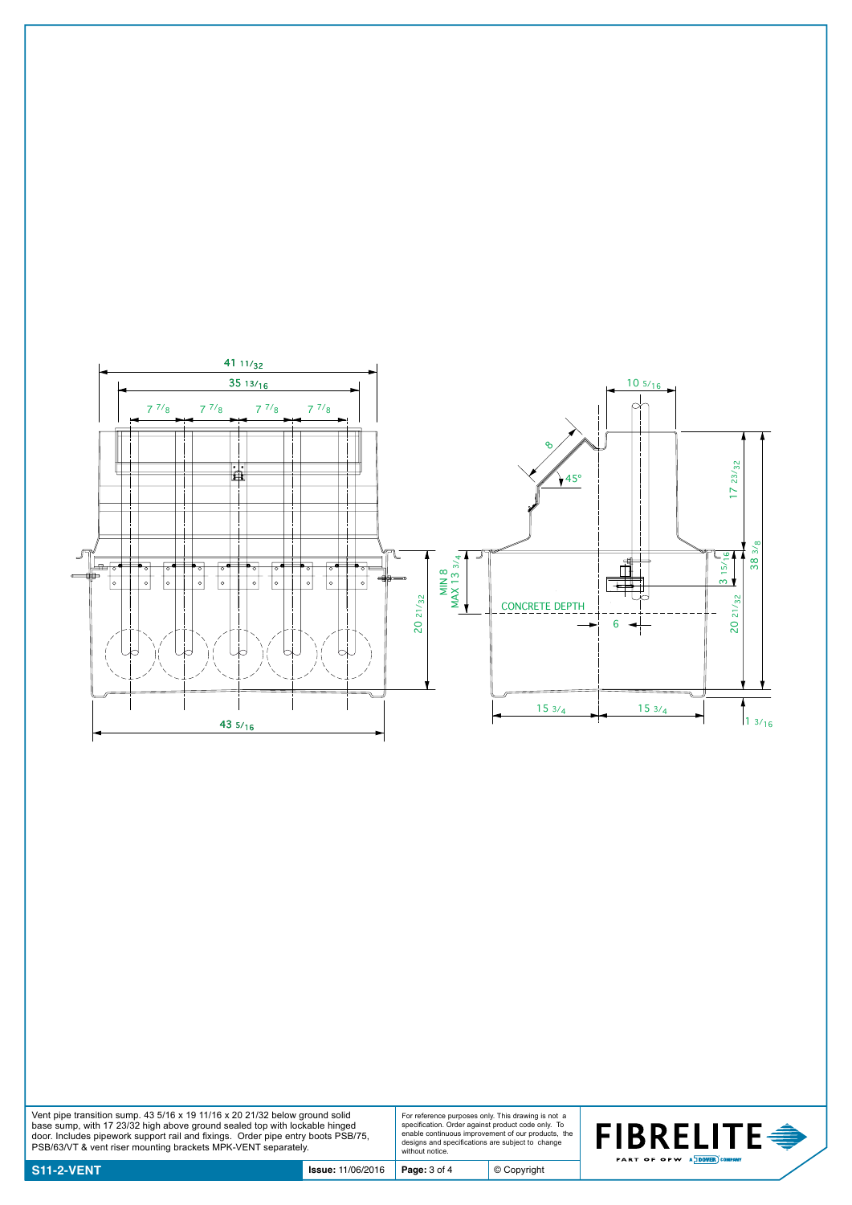

Vent pipe transition sump. 43 5/16 x 19 11/16 x 20 21/32 below ground solid<br>base sump, with 17 23/32 high above ground sealed top with lockable hinged<br>door. Includes pipework support rail and fixings. Order pipe entry boot

For reference purposes only. This drawing is not a specification. Order against product code only. To enable continuous improvement of our products, the designs and specifications are subject to change without notice.

© Copyright